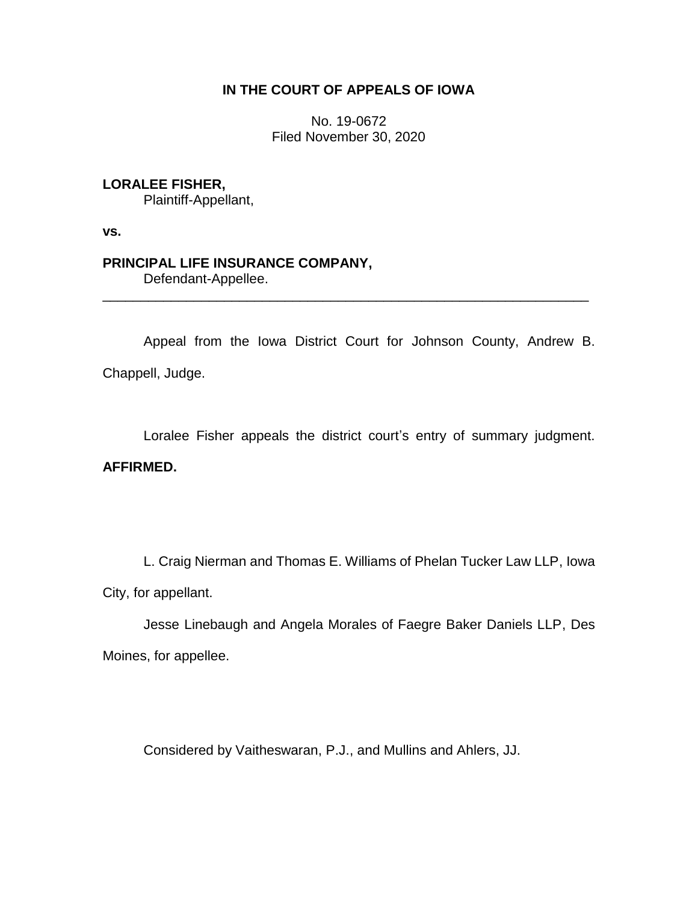# **IN THE COURT OF APPEALS OF IOWA**

No. 19-0672 Filed November 30, 2020

## **LORALEE FISHER,**

Plaintiff-Appellant,

**vs.**

# **PRINCIPAL LIFE INSURANCE COMPANY,**

Defendant-Appellee.

Appeal from the Iowa District Court for Johnson County, Andrew B. Chappell, Judge.

\_\_\_\_\_\_\_\_\_\_\_\_\_\_\_\_\_\_\_\_\_\_\_\_\_\_\_\_\_\_\_\_\_\_\_\_\_\_\_\_\_\_\_\_\_\_\_\_\_\_\_\_\_\_\_\_\_\_\_\_\_\_\_\_

Loralee Fisher appeals the district court's entry of summary judgment.

## **AFFIRMED.**

L. Craig Nierman and Thomas E. Williams of Phelan Tucker Law LLP, Iowa City, for appellant.

Jesse Linebaugh and Angela Morales of Faegre Baker Daniels LLP, Des Moines, for appellee.

Considered by Vaitheswaran, P.J., and Mullins and Ahlers, JJ.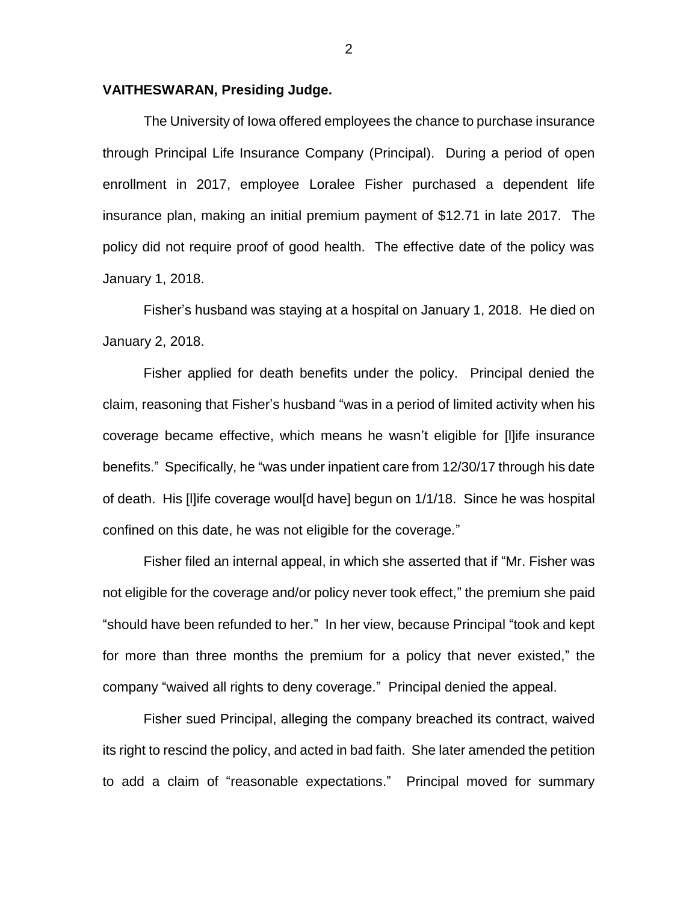### **VAITHESWARAN, Presiding Judge.**

The University of Iowa offered employees the chance to purchase insurance through Principal Life Insurance Company (Principal). During a period of open enrollment in 2017, employee Loralee Fisher purchased a dependent life insurance plan, making an initial premium payment of \$12.71 in late 2017. The policy did not require proof of good health. The effective date of the policy was January 1, 2018.

Fisher's husband was staying at a hospital on January 1, 2018. He died on January 2, 2018.

Fisher applied for death benefits under the policy. Principal denied the claim, reasoning that Fisher's husband "was in a period of limited activity when his coverage became effective, which means he wasn't eligible for [l]ife insurance benefits." Specifically, he "was under inpatient care from 12/30/17 through his date of death. His [l]ife coverage woul[d have] begun on 1/1/18. Since he was hospital confined on this date, he was not eligible for the coverage."

Fisher filed an internal appeal, in which she asserted that if "Mr. Fisher was not eligible for the coverage and/or policy never took effect," the premium she paid "should have been refunded to her." In her view, because Principal "took and kept for more than three months the premium for a policy that never existed," the company "waived all rights to deny coverage." Principal denied the appeal.

Fisher sued Principal, alleging the company breached its contract, waived its right to rescind the policy, and acted in bad faith. She later amended the petition to add a claim of "reasonable expectations." Principal moved for summary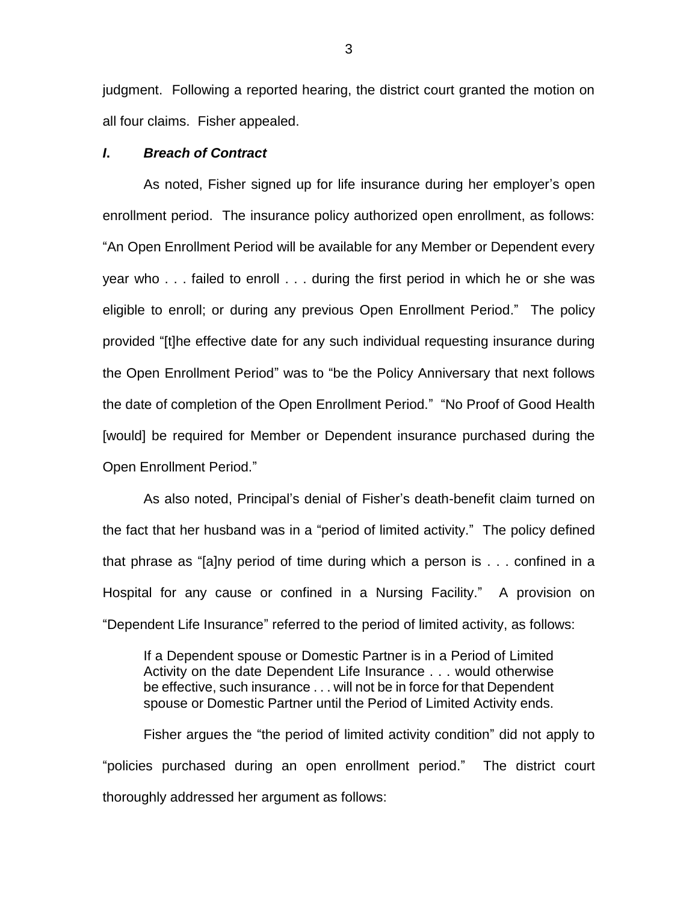judgment. Following a reported hearing, the district court granted the motion on all four claims. Fisher appealed.

### *I***.** *Breach of Contract*

As noted, Fisher signed up for life insurance during her employer's open enrollment period. The insurance policy authorized open enrollment, as follows: "An Open Enrollment Period will be available for any Member or Dependent every year who . . . failed to enroll . . . during the first period in which he or she was eligible to enroll; or during any previous Open Enrollment Period." The policy provided "[t]he effective date for any such individual requesting insurance during the Open Enrollment Period" was to "be the Policy Anniversary that next follows the date of completion of the Open Enrollment Period." "No Proof of Good Health [would] be required for Member or Dependent insurance purchased during the Open Enrollment Period."

As also noted, Principal's denial of Fisher's death-benefit claim turned on the fact that her husband was in a "period of limited activity." The policy defined that phrase as "[a]ny period of time during which a person is . . . confined in a Hospital for any cause or confined in a Nursing Facility." A provision on "Dependent Life Insurance" referred to the period of limited activity, as follows:

If a Dependent spouse or Domestic Partner is in a Period of Limited Activity on the date Dependent Life Insurance . . . would otherwise be effective, such insurance . . . will not be in force for that Dependent spouse or Domestic Partner until the Period of Limited Activity ends.

Fisher argues the "the period of limited activity condition" did not apply to "policies purchased during an open enrollment period." The district court thoroughly addressed her argument as follows:

3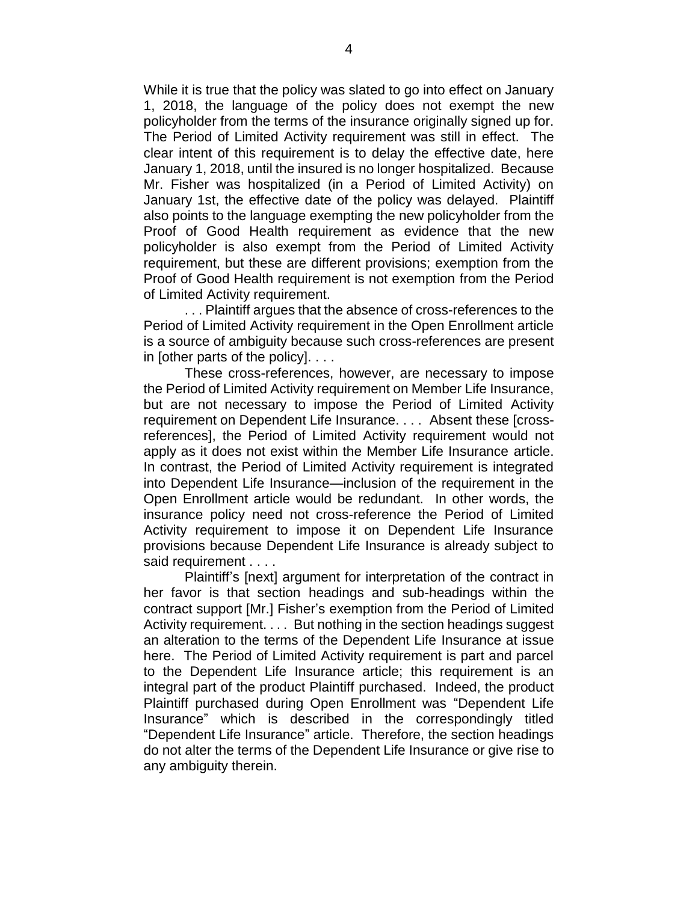While it is true that the policy was slated to go into effect on January 1, 2018, the language of the policy does not exempt the new policyholder from the terms of the insurance originally signed up for. The Period of Limited Activity requirement was still in effect. The clear intent of this requirement is to delay the effective date, here January 1, 2018, until the insured is no longer hospitalized. Because Mr. Fisher was hospitalized (in a Period of Limited Activity) on January 1st, the effective date of the policy was delayed. Plaintiff also points to the language exempting the new policyholder from the Proof of Good Health requirement as evidence that the new policyholder is also exempt from the Period of Limited Activity requirement, but these are different provisions; exemption from the Proof of Good Health requirement is not exemption from the Period of Limited Activity requirement.

. . . Plaintiff argues that the absence of cross-references to the Period of Limited Activity requirement in the Open Enrollment article is a source of ambiguity because such cross-references are present in [other parts of the policy]. . . .

These cross-references, however, are necessary to impose the Period of Limited Activity requirement on Member Life Insurance, but are not necessary to impose the Period of Limited Activity requirement on Dependent Life Insurance. . . . Absent these [crossreferences], the Period of Limited Activity requirement would not apply as it does not exist within the Member Life Insurance article. In contrast, the Period of Limited Activity requirement is integrated into Dependent Life Insurance—inclusion of the requirement in the Open Enrollment article would be redundant. In other words, the insurance policy need not cross-reference the Period of Limited Activity requirement to impose it on Dependent Life Insurance provisions because Dependent Life Insurance is already subject to said requirement . . . .

Plaintiff's [next] argument for interpretation of the contract in her favor is that section headings and sub-headings within the contract support [Mr.] Fisher's exemption from the Period of Limited Activity requirement. . . . But nothing in the section headings suggest an alteration to the terms of the Dependent Life Insurance at issue here. The Period of Limited Activity requirement is part and parcel to the Dependent Life Insurance article; this requirement is an integral part of the product Plaintiff purchased. Indeed, the product Plaintiff purchased during Open Enrollment was "Dependent Life Insurance" which is described in the correspondingly titled "Dependent Life Insurance" article. Therefore, the section headings do not alter the terms of the Dependent Life Insurance or give rise to any ambiguity therein.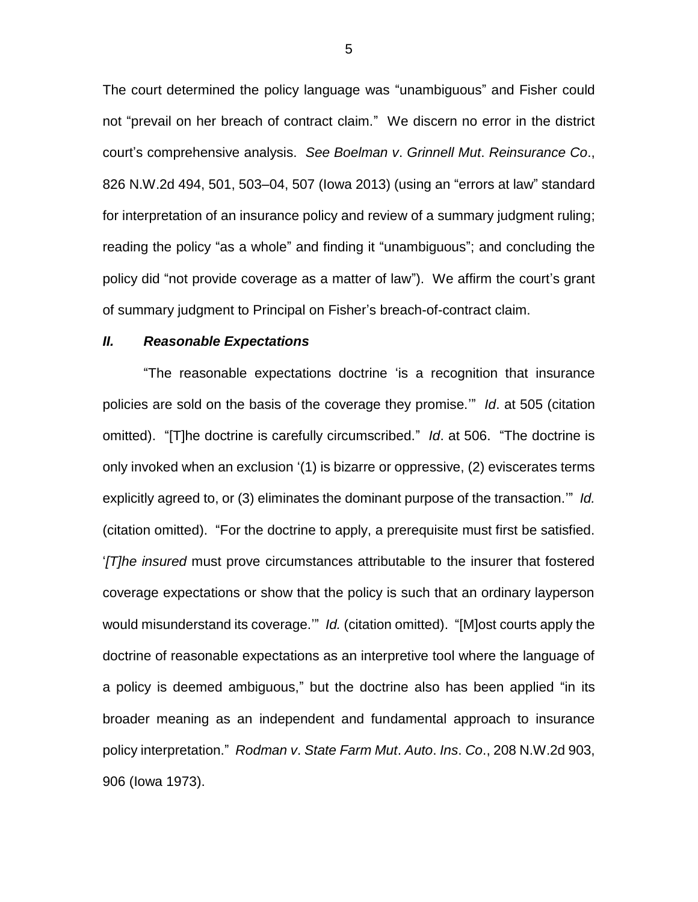The court determined the policy language was "unambiguous" and Fisher could not "prevail on her breach of contract claim." We discern no error in the district court's comprehensive analysis. *See Boelman v*. *Grinnell Mut*. *Reinsurance Co*., 826 N.W.2d 494, 501, 503–04, 507 (Iowa 2013) (using an "errors at law" standard for interpretation of an insurance policy and review of a summary judgment ruling; reading the policy "as a whole" and finding it "unambiguous"; and concluding the policy did "not provide coverage as a matter of law"). We affirm the court's grant of summary judgment to Principal on Fisher's breach-of-contract claim.

### *II. Reasonable Expectations*

"The reasonable expectations doctrine 'is a recognition that insurance policies are sold on the basis of the coverage they promise.'" *Id*. at 505 (citation omitted). "[T]he doctrine is carefully circumscribed." *Id*. at 506. "The doctrine is only invoked when an exclusion '(1) is bizarre or oppressive, (2) eviscerates terms explicitly agreed to, or (3) eliminates the dominant purpose of the transaction.'" *Id.*  (citation omitted). "For the doctrine to apply, a prerequisite must first be satisfied. '*[T]he insured* must prove circumstances attributable to the insurer that fostered coverage expectations or show that the policy is such that an ordinary layperson would misunderstand its coverage.'" *Id.* (citation omitted). "[M]ost courts apply the doctrine of reasonable expectations as an interpretive tool where the language of a policy is deemed ambiguous," but the doctrine also has been applied "in its broader meaning as an independent and fundamental approach to insurance policy interpretation." *Rodman v*. *State Farm Mut*. *Auto*. *Ins*. *Co*., 208 N.W.2d 903, 906 (Iowa 1973).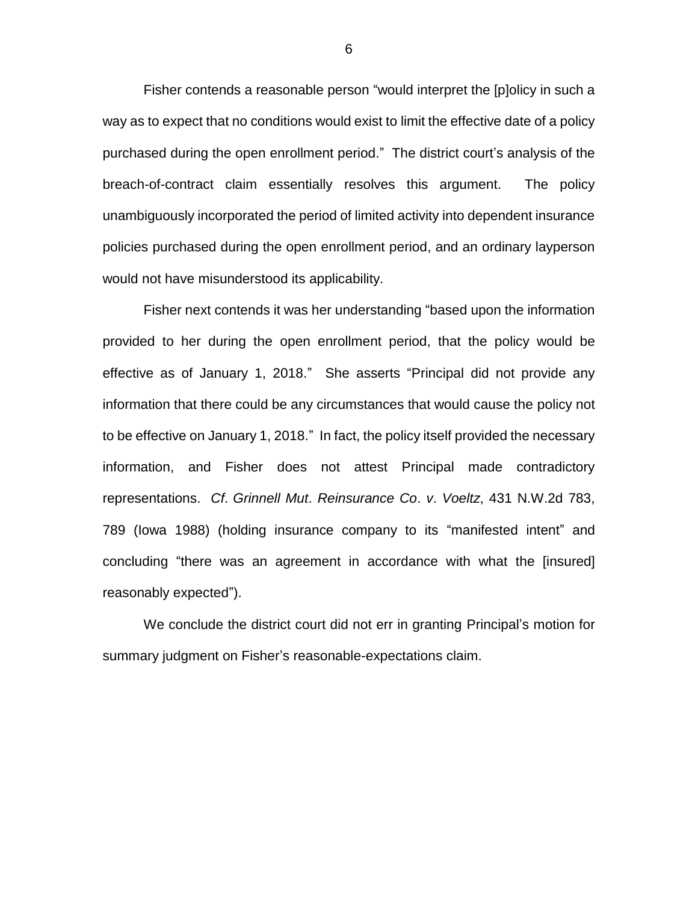Fisher contends a reasonable person "would interpret the [p]olicy in such a way as to expect that no conditions would exist to limit the effective date of a policy purchased during the open enrollment period." The district court's analysis of the breach-of-contract claim essentially resolves this argument. The policy unambiguously incorporated the period of limited activity into dependent insurance policies purchased during the open enrollment period, and an ordinary layperson would not have misunderstood its applicability.

Fisher next contends it was her understanding "based upon the information provided to her during the open enrollment period, that the policy would be effective as of January 1, 2018." She asserts "Principal did not provide any information that there could be any circumstances that would cause the policy not to be effective on January 1, 2018." In fact, the policy itself provided the necessary information, and Fisher does not attest Principal made contradictory representations. *Cf*. *Grinnell Mut*. *Reinsurance Co*. *v*. *Voeltz*, 431 N.W.2d 783, 789 (Iowa 1988) (holding insurance company to its "manifested intent" and concluding "there was an agreement in accordance with what the [insured] reasonably expected").

We conclude the district court did not err in granting Principal's motion for summary judgment on Fisher's reasonable-expectations claim.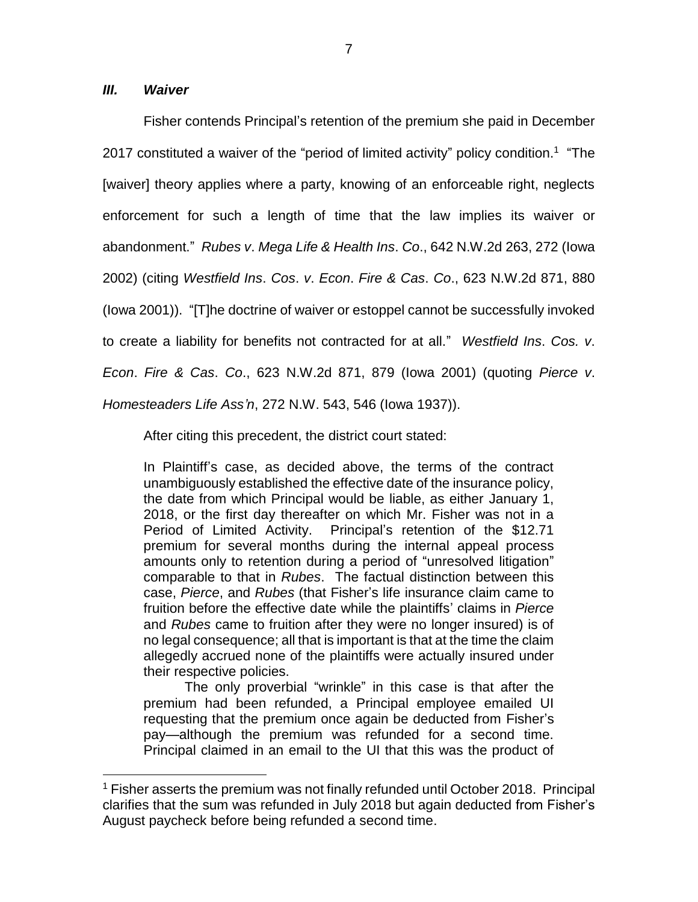### *III. Waiver*

 $\overline{a}$ 

Fisher contends Principal's retention of the premium she paid in December 2017 constituted a waiver of the "period of limited activity" policy condition.<sup>1</sup> "The [waiver] theory applies where a party, knowing of an enforceable right, neglects enforcement for such a length of time that the law implies its waiver or abandonment." *Rubes v*. *Mega Life & Health Ins*. *Co*., 642 N.W.2d 263, 272 (Iowa 2002) (citing *Westfield Ins*. *Cos*. *v*. *Econ*. *Fire & Cas*. *Co*., 623 N.W.2d 871, 880 (Iowa 2001)). "[T]he doctrine of waiver or estoppel cannot be successfully invoked to create a liability for benefits not contracted for at all." *Westfield Ins*. *Cos. v*. *Econ*. *Fire & Cas*. *Co*., 623 N.W.2d 871, 879 (Iowa 2001) (quoting *Pierce v*. *Homesteaders Life Ass'n*, 272 N.W. 543, 546 (Iowa 1937)).

After citing this precedent, the district court stated:

In Plaintiff's case, as decided above, the terms of the contract unambiguously established the effective date of the insurance policy, the date from which Principal would be liable, as either January 1, 2018, or the first day thereafter on which Mr. Fisher was not in a Period of Limited Activity. Principal's retention of the \$12.71 premium for several months during the internal appeal process amounts only to retention during a period of "unresolved litigation" comparable to that in *Rubes*. The factual distinction between this case, *Pierce*, and *Rubes* (that Fisher's life insurance claim came to fruition before the effective date while the plaintiffs' claims in *Pierce* and *Rubes* came to fruition after they were no longer insured) is of no legal consequence; all that is important is that at the time the claim allegedly accrued none of the plaintiffs were actually insured under their respective policies.

The only proverbial "wrinkle" in this case is that after the premium had been refunded, a Principal employee emailed UI requesting that the premium once again be deducted from Fisher's pay—although the premium was refunded for a second time. Principal claimed in an email to the UI that this was the product of

<sup>&</sup>lt;sup>1</sup> Fisher asserts the premium was not finally refunded until October 2018. Principal clarifies that the sum was refunded in July 2018 but again deducted from Fisher's August paycheck before being refunded a second time.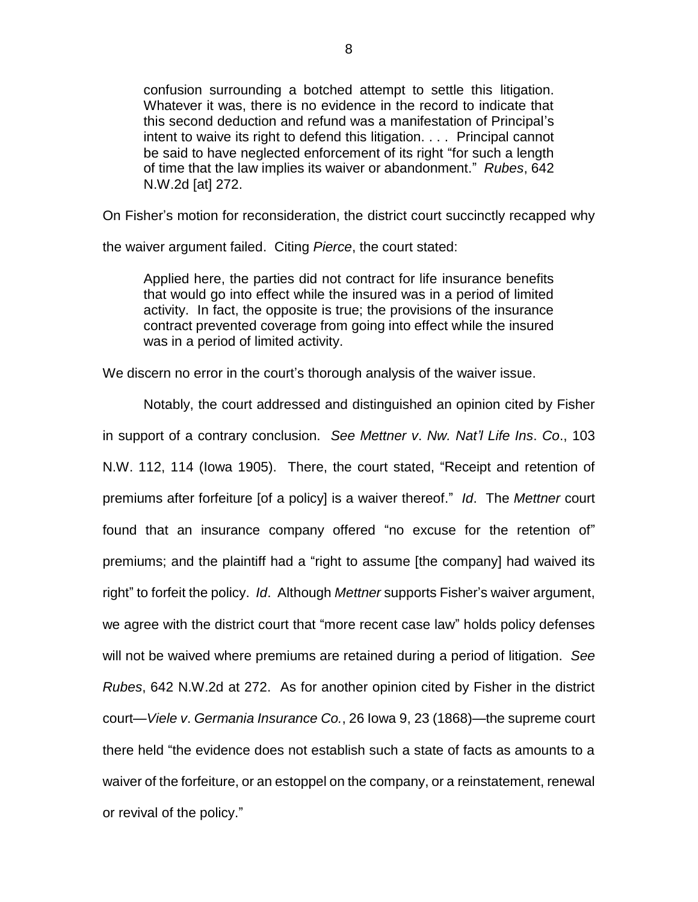confusion surrounding a botched attempt to settle this litigation. Whatever it was, there is no evidence in the record to indicate that this second deduction and refund was a manifestation of Principal's intent to waive its right to defend this litigation. . . . Principal cannot be said to have neglected enforcement of its right "for such a length of time that the law implies its waiver or abandonment." *Rubes*, 642 N.W.2d [at] 272.

On Fisher's motion for reconsideration, the district court succinctly recapped why

the waiver argument failed. Citing *Pierce*, the court stated:

Applied here, the parties did not contract for life insurance benefits that would go into effect while the insured was in a period of limited activity. In fact, the opposite is true; the provisions of the insurance contract prevented coverage from going into effect while the insured was in a period of limited activity.

We discern no error in the court's thorough analysis of the waiver issue.

Notably, the court addressed and distinguished an opinion cited by Fisher in support of a contrary conclusion. *See Mettner v*. *Nw. Nat'l Life Ins*. *Co*., 103 N.W. 112, 114 (Iowa 1905). There, the court stated, "Receipt and retention of premiums after forfeiture [of a policy] is a waiver thereof." *Id*. The *Mettner* court found that an insurance company offered "no excuse for the retention of" premiums; and the plaintiff had a "right to assume [the company] had waived its right" to forfeit the policy. *Id*. Although *Mettner* supports Fisher's waiver argument, we agree with the district court that "more recent case law" holds policy defenses will not be waived where premiums are retained during a period of litigation. *See Rubes*, 642 N.W.2d at 272. As for another opinion cited by Fisher in the district court—*Viele v*. *Germania Insurance Co.*, 26 Iowa 9, 23 (1868)—the supreme court there held "the evidence does not establish such a state of facts as amounts to a waiver of the forfeiture, or an estoppel on the company, or a reinstatement, renewal or revival of the policy."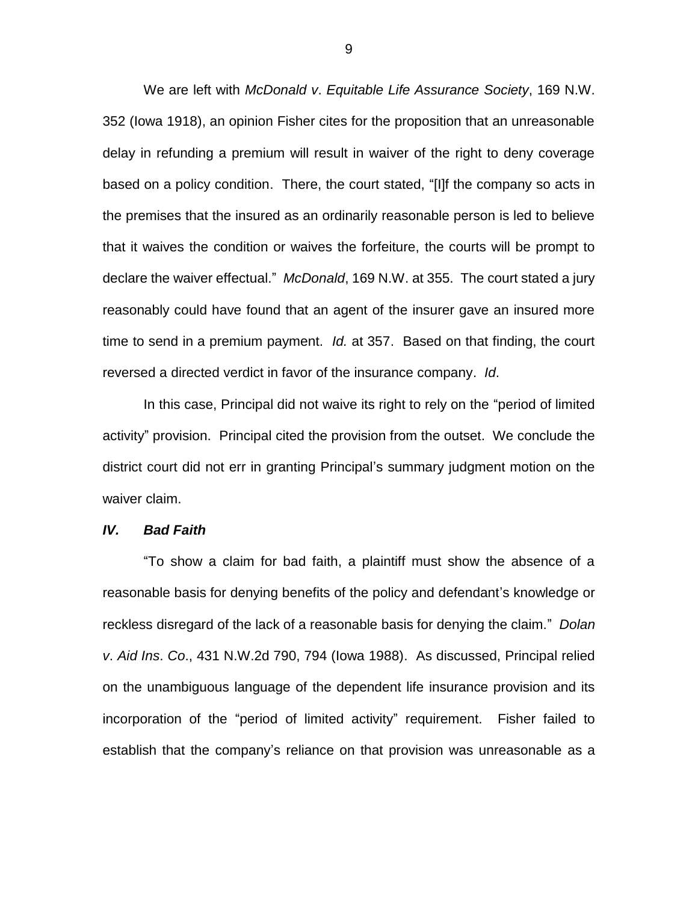We are left with *McDonald v*. *Equitable Life Assurance Society*, 169 N.W. 352 (Iowa 1918), an opinion Fisher cites for the proposition that an unreasonable delay in refunding a premium will result in waiver of the right to deny coverage based on a policy condition. There, the court stated, "[I]f the company so acts in the premises that the insured as an ordinarily reasonable person is led to believe that it waives the condition or waives the forfeiture, the courts will be prompt to declare the waiver effectual." *McDonald*, 169 N.W. at 355. The court stated a jury reasonably could have found that an agent of the insurer gave an insured more time to send in a premium payment. *Id.* at 357. Based on that finding, the court reversed a directed verdict in favor of the insurance company. *Id*.

In this case, Principal did not waive its right to rely on the "period of limited activity" provision. Principal cited the provision from the outset. We conclude the district court did not err in granting Principal's summary judgment motion on the waiver claim.

#### *IV. Bad Faith*

"To show a claim for bad faith, a plaintiff must show the absence of a reasonable basis for denying benefits of the policy and defendant's knowledge or reckless disregard of the lack of a reasonable basis for denying the claim." *Dolan v*. *Aid Ins*. *Co*., 431 N.W.2d 790, 794 (Iowa 1988). As discussed, Principal relied on the unambiguous language of the dependent life insurance provision and its incorporation of the "period of limited activity" requirement. Fisher failed to establish that the company's reliance on that provision was unreasonable as a

9